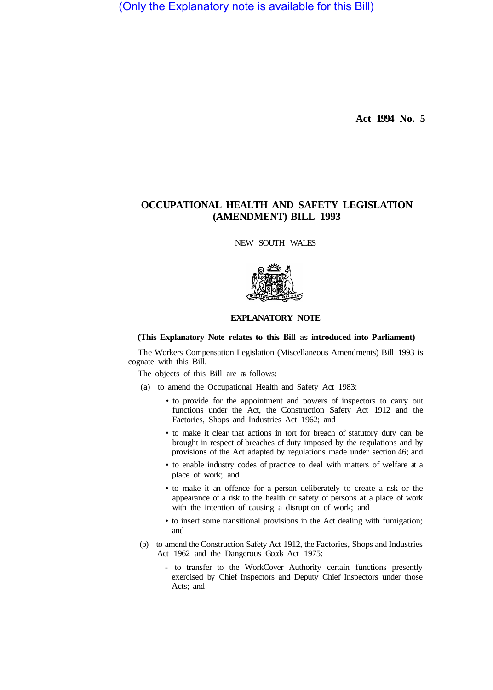(Only the Explanatory note is available for this Bill)

**Act 1994 No. 5** 

# **OCCUPATIONAL HEALTH AND SAFETY LEGISLATION (AMENDMENT) BILL 1993**

NEW SOUTH WALES



# **EXPLANATORY NOTE**

# **(This Explanatory Note relates to this Bill** as **introduced into Parliament)**

The Workers Compensation Legislation (Miscellaneous Amendments) Bill 1993 is cognate with this Bill.

The objects of this Bill are as follows:

- (a) to amend the Occupational Health and Safety Act 1983:
	- to provide for the appointment and powers of inspectors to carry out functions under the Act, the Construction Safety Act 1912 and the Factories, Shops and Industries Act 1962; and
	- to make it clear that actions in tort for breach of statutory duty can be brought in respect of breaches of duty imposed by the regulations and by provisions of the Act adapted by regulations made under section 46; and
	- to enable industry codes of practice to deal with matters of welfare at a place of work; and
	- to make it an offence for a person deliberately to create a risk or the appearance of a risk to the health or safety of persons at a place of work with the intention of causing a disruption of work; and
	- to insert some transitional provisions in the Act dealing with fumigation; and
- (b) to amend the Construction Safety Act 1912, the Factories, Shops and Industries Act 1962 and the Dangerous Goods Act 1975:
	- to transfer to the WorkCover Authority certain functions presently exercised by Chief Inspectors and Deputy Chief Inspectors under those Acts; and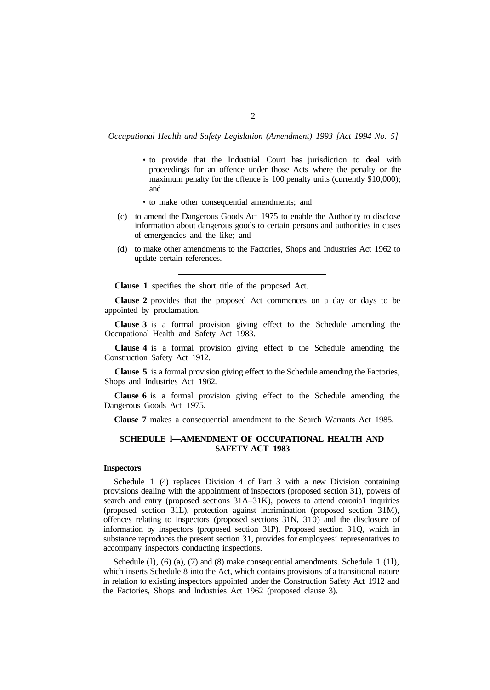- to provide that the Industrial Court has jurisdiction to deal with proceedings for an offence under those Acts where the penalty or the maximum penalty for the offence is 100 penalty units (currently \$10,000); and
- to make other consequential amendments; and
- (c) to amend the Dangerous Goods Act 1975 to enable the Authority to disclose information about dangerous goods to certain persons and authorities in cases of emergencies and the like; and
- (d) to make other amendments to the Factories, Shops and Industries Act 1962 to update certain references.

**Clause 1** specifies the short title of the proposed Act.

**Clause 2** provides that the proposed Act commences on a day or days to be appointed by proclamation.

**Clause 3** is a formal provision giving effect to the Schedule amending the Occupational Health and Safety Act 1983.

**Clause 4** is a formal provision giving effect to the Schedule amending the Construction Safety Act 1912.

**Clause 5** is a formal provision giving effect to the Schedule amending the Factories, Shops and Industries Act 1962.

**Clause 6** is a formal provision giving effect to the Schedule amending the Dangerous Goods Act 1975.

**Clause 7** makes a consequential amendment to the Search Warrants Act 1985.

# **SCHEDULE l—AMENDMENT OF OCCUPATIONAL HEALTH AND SAFETY ACT 1983**

### **Inspectors**

Schedule 1 (4) replaces Division 4 of Part 3 with a new Division containing provisions dealing with the appointment of inspectors (proposed section 31), powers of search and entry (proposed sections 31A–31K), powers to attend coronial inquiries (proposed section 31L), protection against incrimination (proposed section 3 1M), offences relating to inspectors (proposed sections 31N, 310) and the disclosure of information by inspectors (proposed section 31P). Proposed section 3 1Q, which in substance reproduces the present section 3 1, provides for employees' representatives to accompany inspectors conducting inspections.

Schedule  $(1)$ ,  $(6)$   $(a)$ ,  $(7)$  and  $(8)$  make consequential amendments. Schedule 1  $(11)$ , which inserts Schedule 8 into the Act, which contains provisions of a transitional nature in relation to existing inspectors appointed under the Construction Safety Act 1912 and the Factories, Shops and Industries Act 1962 (proposed clause 3).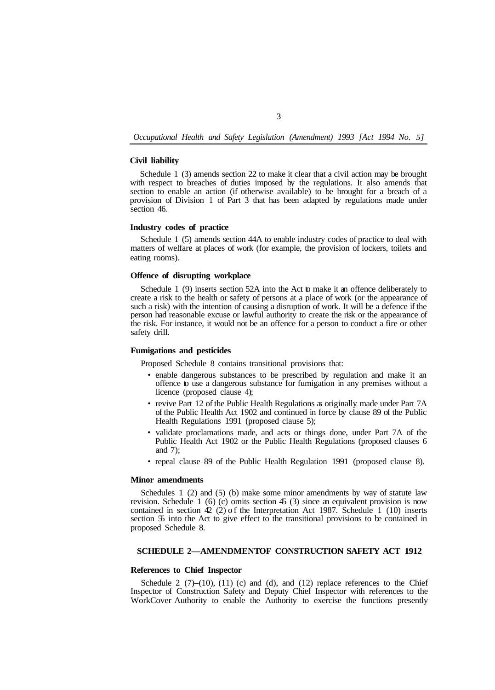#### **Civil liability**

Schedule 1 (3) amends section 22 to make it clear that a civil action may be brought with respect to breaches of duties imposed by the regulations. It also amends that section to enable an action (if otherwise available) to be brought for a breach of a provision of Division 1 of Part 3 that has been adapted by regulations made under section 46.

#### **Industry codes of practice**

Schedule 1 (5) amends section 44A to enable industry codes of practice to deal with matters of welfare at places of work (for example, the provision of lockers, toilets and eating rooms).

### **Offence of disrupting workplace**

Schedule 1 (9) inserts section 52A into the Act to make it an offence deliberately to create a risk to the health or safety of persons at a place of work (or the appearance of such a risk) with the intention of causing a disruption of work. It will be a defence if the person had reasonable excuse or lawful authority to create the risk or the appearance of the risk. For instance, it would not be an offence for a person to conduct a fire or other safety drill.

#### **Fumigations and pesticides**

Proposed Schedule 8 contains transitional provisions that:

- enable dangerous substances to be prescribed by regulation and make it an offence to use a dangerous substance for fumigation in any premises without a licence (proposed clause 4);
- revive Part 12 of the Public Health Regulations as originally made under Part 7A of the Public Health Act 1902 and continued in force by clause 89 of the Public Health Regulations 1991 (proposed clause 5);
- validate proclamations made, and acts or things done, under Part 7A of the Public Health Act 1902 or the Public Health Regulations (proposed clauses 6 and 7);
- repeal clause 89 of the Public Health Regulation 1991 (proposed clause 8).

#### **Minor amendments**

Schedules 1 (2) and (5) (b) make some minor amendments by way of statute law revision. Schedule 1 (6) (c) omits section 45 (3) since an equivalent provision is now contained in section  $42$  (2) of the Interpretation Act 1987. Schedule 1 (10) inserts section 55 into the Act to give effect to the transitional provisions to be contained in proposed Schedule 8.

# **SCHEDULE 2-AMENDMENTOF CONSTRUCTION SAFETY ACT 1912**

## **References to Chief Inspector**

Schedule 2  $(7)$ – $(10)$ ,  $(11)$   $(c)$  and  $(d)$ , and  $(12)$  replace references to the Chief Inspector of Construction Safety and Deputy Chief Inspector with references to the WorkCover Authority to enable the Authority to exercise the functions presently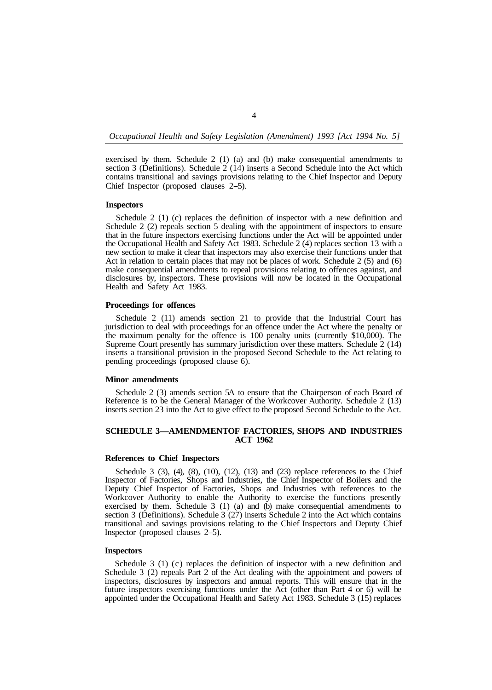exercised by them. Schedule 2 (1) (a) and (b) make consequential amendments to section 3 (Definitions). Schedule  $2(14)$  inserts a Second Schedule into the Act which contains transitional and savings provisions relating to the Chief Inspector and Deputy Chief Inspector (proposed clauses 2-5).

### **Inspectors**

Schedule 2 (1) (c) replaces the definition of inspector with a new definition and Schedule 2 (2) repeals section 5 dealing with the appointment of inspectors to ensure that in the future inspectors exercising functions under the Act will be appointed under the Occupational Health and Safety Act 1983. Schedule 2 (4) replaces section 13 with a new section to make it clear that inspectors may also exercise their functions under that Act in relation to certain places that may not be places of work. Schedule 2 (5) and (6) make consequential amendments to repeal provisions relating to offences against, and disclosures by, inspectors. These provisions will now be located in the Occupational Health and Safety Act 1983.

#### **Proceedings for offences**

Schedule 2 (11) amends section 21 to provide that the Industrial Court has jurisdiction to deal with proceedings for an offence under the Act where the penalty or the maximum penalty for the offence is 100 penalty units (currently \$10,000). The Supreme Court presently has summary jurisdiction over these matters. Schedule 2 (14) inserts a transitional provision in the proposed Second Schedule to the Act relating to pending proceedings (proposed clause 6).

#### **Minor amendments**

Schedule 2 (3) amends section 5A to ensure that the Chairperson of each Board of Reference is to be the General Manager of the Workcover Authority. Schedule 2 (13) inserts section 23 into the Act to give effect to the proposed Second Schedule to the Act.

# **SCHEDULE 3-AMENDMENTOF FACTORIES, SHOPS AND INDUSTRIES ACT 1962**

# **References to Chief Inspectors**

Schedule 3  $(3)$ ,  $(4)$ ,  $(8)$ ,  $(10)$ ,  $(12)$ ,  $(13)$  and  $(23)$  replace references to the Chief Inspector of Factories, Shops and Industries, the Chief Inspector of Boilers and the Deputy Chief Inspector of Factories, Shops and Industries with references to the Workcover Authority to enable the Authority to exercise the functions presently exercised by them. Schedule 3 (1) (a) and (b) make consequential amendments to section 3 (Definitions). Schedule 3 (27) inserts Schedule 2 into the Act which contains transitional and savings provisions relating to the Chief Inspectors and Deputy Chief Inspector (proposed clauses 2–5).

#### **Inspectors**

Schedule 3 (1) (c) replaces the definition of inspector with a new definition and Schedule 3 (2) repeals Part 2 of the Act dealing with the appointment and powers of inspectors, disclosures by inspectors and annual reports. This will ensure that in the future inspectors exercising functions under the Act (other than Part 4 or 6) will be appointed under the Occupational Health and Safety Act 1983. Schedule 3 (15) replaces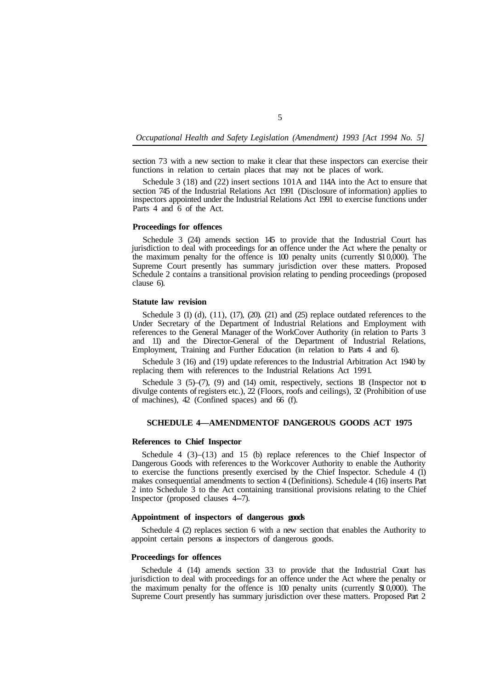section 73 with a new section to make it clear that these inspectors can exercise their functions in relation to certain places that may not be places of work.

Schedule 3 (18) and (22) insert sections 101A and 114A into the Act to ensure that section 745 of the Industrial Relations Act 1991 (Disclosure of information) applies to inspectors appointed under the Industrial Relations Act 1991 to exercise functions under Parts 4 and 6 of the Act.

#### **Proceedings for offences**

Schedule 3 (24) amends section 145 to provide that the Industrial Court has jurisdiction to deal with proceedings for an offence under the Act where the penalty or the maximum penalty for the offence is 100 penalty units (currently \$1 0,000). The Supreme Court presently has summary jurisdiction over these matters. Proposed Schedule 2 contains a transitional provision relating to pending proceedings (proposed clause 6).

### **Statute law revision**

Schedule 3 (1) (d),  $(11)$ ,  $(17)$ ,  $(20)$ .  $(21)$  and  $(25)$  replace outdated references to the Under Secretary of the Department of Industrial Relations and Employment with references to the General Manager of the WorkCover Authority (in relation to Parts 3 and 11) and the Director-General of the Department of Industrial Relations, Employment, Training and Further Education (in relation to Parts 4 and 6).

Schedule 3 (16) and (19) update references to the Industrial Arbitration Act 1940 by replacing them with references to the Industrial Relations Act 199 1.

Schedule 3 (5)–(7), (9) and (14) omit, respectively, sections 18 (Inspector not to divulge contents of registers etc.), 22 (Floors, roofs and ceilings), 32 (Prohibition of use of machines), 42 (Confined spaces) and 66 (f).

#### **SCHEDULE 4-AMENDMENTOF DANGEROUS GOODS ACT 1975**

#### **References to Chief Inspector**

Schedule 4 (3)–(13) and 15 (b) replace references to the Chief Inspector of Dangerous Goods with references to the Workcover Authority to enable the Authority to exercise the functions presently exercised by the Chief Inspector. Schedule 4 (1) makes consequential amendments to section 4 (Definitions). Schedule 4 (16) inserts Part 2 into Schedule 3 to the Act containing transitional provisions relating to the Chief Inspector (proposed clauses 4-7).

### **Appointment of inspectors of dangerous goods**

appoint certain persons as inspectors of dangerous goods. Schedule 4 (2) replaces section 6 with a new section that enables the Authority to

## **Proceedings for offences**

Schedule 4 (14) amends section 33 to provide that the Industrial Court has jurisdiction to deal with proceedings for an offence under the Act where the penalty or the maximum penalty for the offence is  $100$  penalty units (currently  $$10,000$ ). The Supreme Court presently has summary jurisdiction over these matters. Proposed Part 2